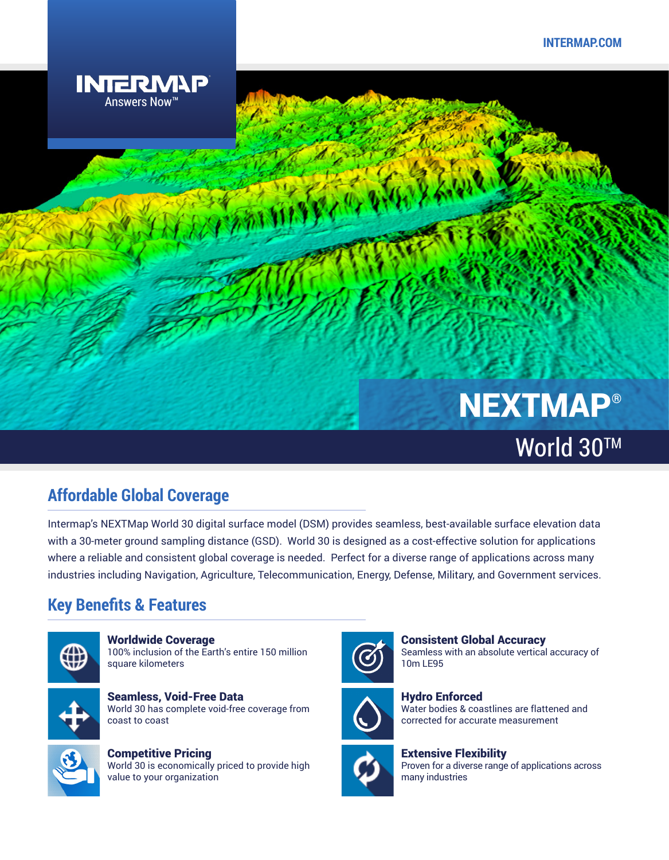

# NEXTMAP® World 30™

# **Affordable Global Coverage**

Intermap's NEXTMap World 30 digital surface model (DSM) provides seamless, best-available surface elevation data with a 30-meter ground sampling distance (GSD). World 30 is designed as a cost-effective solution for applications where a reliable and consistent global coverage is needed. Perfect for a diverse range of applications across many industries including Navigation, Agriculture, Telecommunication, Energy, Defense, Military, and Government services.

# **Key Benefits & Features**



Worldwide Coverage 100% inclusion of the Earth's entire 150 million square kilometers



Seamless, Void-Free Data World 30 has complete void-free coverage from coast to coast



Competitive Pricing World 30 is economically priced to provide high value to your organization







Hydro Enforced Water bodies & coastlines are flattened and corrected for accurate measurement



Extensive Flexibility Proven for a diverse range of applications across many industries